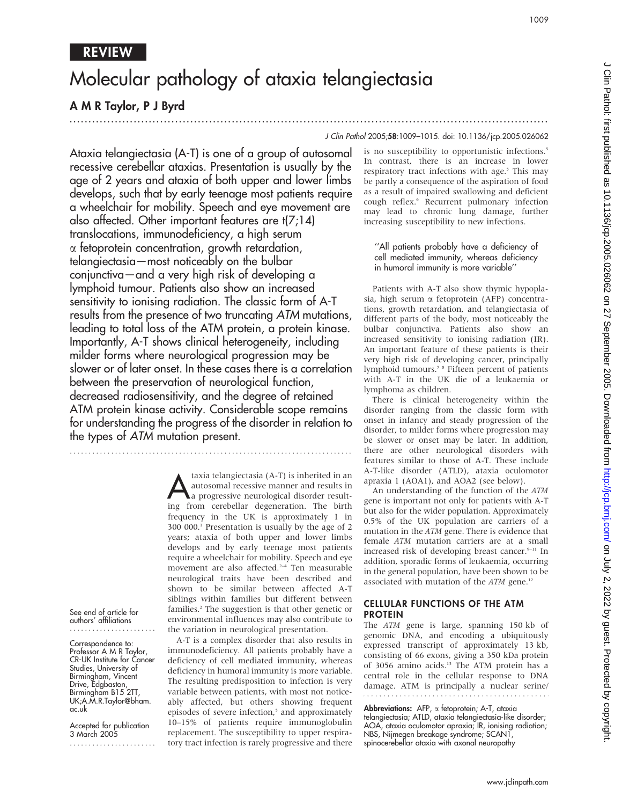

# Molecular pathology of ataxia telangiectasia

A M R Taylor, P J Byrd

# J Clin Pathol 2005;58:1009–1015. doi: 10.1136/jcp.2005.026062

Ataxia telangiectasia (A-T) is one of a group of autosomal recessive cerebellar ataxias. Presentation is usually by the age of 2 years and ataxia of both upper and lower limbs develops, such that by early teenage most patients require a wheelchair for mobility. Speech and eye movement are also affected. Other important features are  $t(7,14)$ translocations, immunodeficiency, a high serum  $\alpha$  fetoprotein concentration, growth retardation, telangiectasia—most noticeably on the bulbar conjunctiva—and a very high risk of developing a lymphoid tumour. Patients also show an increased sensitivity to ionising radiation. The classic form of A-T results from the presence of two truncating ATM mutations, leading to total loss of the ATM protein, a protein kinase. Importantly, A-T shows clinical heterogeneity, including milder forms where neurological progression may be slower or of later onset. In these cases there is a correlation between the preservation of neurological function, decreased radiosensitivity, and the degree of retained ATM protein kinase activity. Considerable scope remains for understanding the progress of the disorder in relation to the types of ATM mutation present.

...........................................................................

Ataxia telangiectasia (A-T) is inherited in an autosomal recessive manner and results in a progressive neurological disorder result-<br>in a from exphaller degeneration. The high autosomal recessive manner and results in ing from cerebellar degeneration. The birth frequency in the UK is approximately 1 in 300 000.1 Presentation is usually by the age of 2 years; ataxia of both upper and lower limbs develops and by early teenage most patients require a wheelchair for mobility. Speech and eye movement are also affected.<sup>2-4</sup> Ten measurable neurological traits have been described and shown to be similar between affected A-T siblings within families but different between families.<sup>2</sup> The suggestion is that other genetic or environmental influences may also contribute to the variation in neurological presentation.

A-T is a complex disorder that also results in immunodeficiency. All patients probably have a deficiency of cell mediated immunity, whereas deficiency in humoral immunity is more variable. The resulting predisposition to infection is very variable between patients, with most not noticeably affected, but others showing frequent episodes of severe infection,<sup>5</sup> and approximately 10–15% of patients require immunoglobulin replacement. The susceptibility to upper respiratory tract infection is rarely progressive and there

is no susceptibility to opportunistic infections.<sup>5</sup> In contrast, there is an increase in lower respiratory tract infections with age.<sup>5</sup> This may be partly a consequence of the aspiration of food as a result of impaired swallowing and deficient cough reflex.6 Recurrent pulmonary infection may lead to chronic lung damage, further increasing susceptibility to new infections.

...............................................................................................................................

## ''All patients probably have a deficiency of cell mediated immunity, whereas deficiency in humoral immunity is more variable''

Patients with A-T also show thymic hypoplasia, high serum  $\alpha$  fetoprotein (AFP) concentrations, growth retardation, and telangiectasia of different parts of the body, most noticeably the bulbar conjunctiva. Patients also show an increased sensitivity to ionising radiation (IR). An important feature of these patients is their very high risk of developing cancer, principally lymphoid tumours.<sup>7</sup> <sup>8</sup> Fifteen percent of patients with A-T in the UK die of a leukaemia or lymphoma as children.

There is clinical heterogeneity within the disorder ranging from the classic form with onset in infancy and steady progression of the disorder, to milder forms where progression may be slower or onset may be later. In addition, there are other neurological disorders with features similar to those of A-T. These include A-T-like disorder (ATLD), ataxia oculomotor apraxia 1 (AOA1), and AOA2 (see below).

An understanding of the function of the ATM gene is important not only for patients with A-T but also for the wider population. Approximately 0.5% of the UK population are carriers of a mutation in the ATM gene. There is evidence that female ATM mutation carriers are at a small increased risk of developing breast cancer.<sup>9-11</sup> In addition, sporadic forms of leukaemia, occurring in the general population, have been shown to be associated with mutation of the ATM gene.<sup>12</sup>

# CELLULAR FUNCTIONS OF THE ATM PROTEIN

The ATM gene is large, spanning 150 kb of genomic DNA, and encoding a ubiquitously expressed transcript of approximately 13 kb, consisting of 66 exons, giving a 350 kDa protein of 3056 amino acids.<sup>13</sup> The ATM protein has a central role in the cellular response to DNA damage. ATM is principally a nuclear serine/

Abbreviations: AFP, a fetoprotein; A-T, ataxia telangiectasia; ATLD, ataxia telangiectasia-like disorder; AOA, ataxia oculomotor apraxia; IR, ionising radiation; NBS, Nijmegen breakage syndrome; SCAN1, spinocerebellar ataxia with axonal neuropathy

See end of article for authors' affiliations .......................

Correspondence to: Professor A M R Taylor, CR-UK Institute for Cancer Studies, University of Birmingham, Vincent Drive, Edgbaston, Birmingham B15 2TT, UK;A.M.R.Taylor@bham. ac.uk

Accepted for publication 3 March 2005 .......................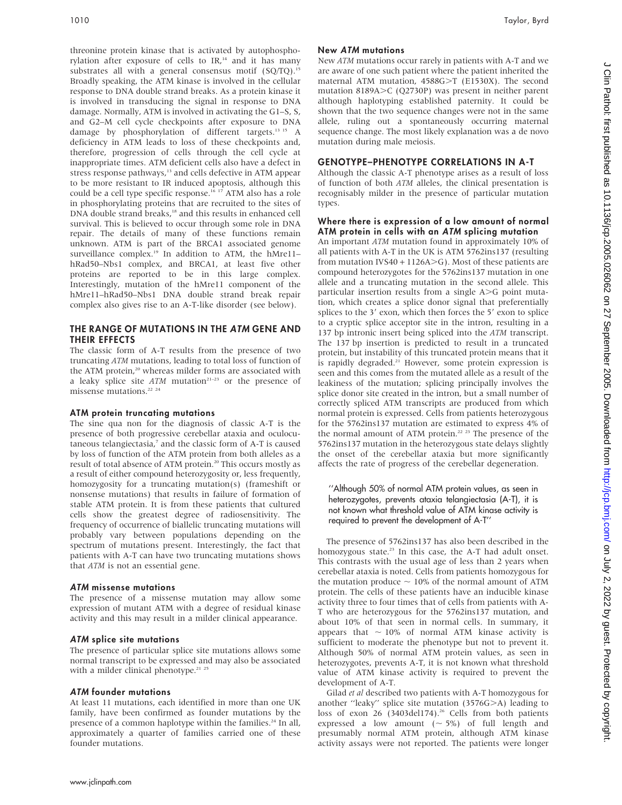threonine protein kinase that is activated by autophosphorylation after exposure of cells to IR,<sup>14</sup> and it has many substrates all with a general consensus motif (SQ/TQ).<sup>15</sup> Broadly speaking, the ATM kinase is involved in the cellular response to DNA double strand breaks. As a protein kinase it is involved in transducing the signal in response to DNA damage. Normally, ATM is involved in activating the G1–S, S, and G2–M cell cycle checkpoints after exposure to DNA damage by phosphorylation of different targets.13 15 A deficiency in ATM leads to loss of these checkpoints and, therefore, progression of cells through the cell cycle at inappropriate times. ATM deficient cells also have a defect in stress response pathways,<sup>13</sup> and cells defective in ATM appear to be more resistant to IR induced apoptosis, although this could be a cell type specific response.<sup>16 17</sup> ATM also has a role in phosphorylating proteins that are recruited to the sites of DNA double strand breaks,<sup>18</sup> and this results in enhanced cell survival. This is believed to occur through some role in DNA repair. The details of many of these functions remain unknown. ATM is part of the BRCA1 associated genome surveillance complex.<sup>19</sup> In addition to ATM, the hMre11hRad50–Nbs1 complex, and BRCA1, at least five other proteins are reported to be in this large complex. Interestingly, mutation of the hMre11 component of the hMre11–hRad50–Nbs1 DNA double strand break repair complex also gives rise to an A-T-like disorder (see below).

# THE RANGE OF MUTATIONS IN THE ATM GENE AND THEIR EFFECTS

The classic form of A-T results from the presence of two truncating ATM mutations, leading to total loss of function of the ATM protein,<sup>20</sup> whereas milder forms are associated with a leaky splice site  $ATM$  mutation<sup>21-23</sup> or the presence of missense mutations.<sup>22</sup> <sup>24</sup>

# ATM protein truncating mutations

The sine qua non for the diagnosis of classic A-T is the presence of both progressive cerebellar ataxia and oculocutaneous telangiectasia,<sup>7</sup> and the classic form of A-T is caused by loss of function of the ATM protein from both alleles as a result of total absence of ATM protein.<sup>20</sup> This occurs mostly as a result of either compound heterozygosity or, less frequently, homozygosity for a truncating mutation(s) (frameshift or nonsense mutations) that results in failure of formation of stable ATM protein. It is from these patients that cultured cells show the greatest degree of radiosensitivity. The frequency of occurrence of biallelic truncating mutations will probably vary between populations depending on the spectrum of mutations present. Interestingly, the fact that patients with A-T can have two truncating mutations shows that ATM is not an essential gene.

#### ATM missense mutations

The presence of a missense mutation may allow some expression of mutant ATM with a degree of residual kinase activity and this may result in a milder clinical appearance.

## ATM splice site mutations

The presence of particular splice site mutations allows some normal transcript to be expressed and may also be associated with a milder clinical phenotype.<sup>21-25</sup>

# ATM founder mutations

At least 11 mutations, each identified in more than one UK family, have been confirmed as founder mutations by the presence of a common haplotype within the families.<sup>24</sup> In all, approximately a quarter of families carried one of these founder mutations.

# New ATM mutations

New ATM mutations occur rarely in patients with A-T and we are aware of one such patient where the patient inherited the maternal ATM mutation, 4588G>T (E1530X). The second mutation 8189A $>$ C (Q2730P) was present in neither parent although haplotyping established paternity. It could be shown that the two sequence changes were not in the same allele, ruling out a spontaneously occurring maternal sequence change. The most likely explanation was a de novo mutation during male meiosis.

# GENOTYPE–PHENOTYPE CORRELATIONS IN A-T

Although the classic A-T phenotype arises as a result of loss of function of both ATM alleles, the clinical presentation is recognisably milder in the presence of particular mutation types.

## Where there is expression of a low amount of normal ATM protein in cells with an ATM splicing mutation

An important ATM mutation found in approximately 10% of all patients with A-T in the UK is ATM 5762ins137 (resulting from mutation IVS40 +  $1126A > G$ ). Most of these patients are compound heterozygotes for the 5762ins137 mutation in one allele and a truncating mutation in the second allele. This particular insertion results from a single  $A > G$  point mutation, which creates a splice donor signal that preferentially splices to the 3' exon, which then forces the 5' exon to splice to a cryptic splice acceptor site in the intron, resulting in a 137 bp intronic insert being spliced into the ATM transcript. The 137 bp insertion is predicted to result in a truncated protein, but instability of this truncated protein means that it is rapidly degraded.<sup>21</sup> However, some protein expression is seen and this comes from the mutated allele as a result of the leakiness of the mutation; splicing principally involves the splice donor site created in the intron, but a small number of correctly spliced ATM transcripts are produced from which normal protein is expressed. Cells from patients heterozygous for the 5762ins137 mutation are estimated to express 4% of the normal amount of ATM protein.22 23 The presence of the 5762ins137 mutation in the heterozygous state delays slightly the onset of the cerebellar ataxia but more significantly affects the rate of progress of the cerebellar degeneration.

''Although 50% of normal ATM protein values, as seen in heterozygotes, prevents ataxia telangiectasia (A-T), it is not known what threshold value of ATM kinase activity is required to prevent the development of A-T''

The presence of 5762ins137 has also been described in the homozygous state.<sup>23</sup> In this case, the A-T had adult onset. This contrasts with the usual age of less than 2 years when cerebellar ataxia is noted. Cells from patients homozygous for the mutation produce  $\sim$  10% of the normal amount of ATM protein. The cells of these patients have an inducible kinase activity three to four times that of cells from patients with A-T who are heterozygous for the 5762ins137 mutation, and about 10% of that seen in normal cells. In summary, it appears that  $\sim 10\%$  of normal ATM kinase activity is sufficient to moderate the phenotype but not to prevent it. Although 50% of normal ATM protein values, as seen in heterozygotes, prevents A-T, it is not known what threshold value of ATM kinase activity is required to prevent the development of A-T.

Gilad et al described two patients with A-T homozygous for another "leaky" splice site mutation  $(3576G>A)$  leading to loss of exon 26 (3403del174).<sup>26</sup> Cells from both patients expressed a low amount  $({\sim} 5\%)$  of full length and presumably normal ATM protein, although ATM kinase activity assays were not reported. The patients were longer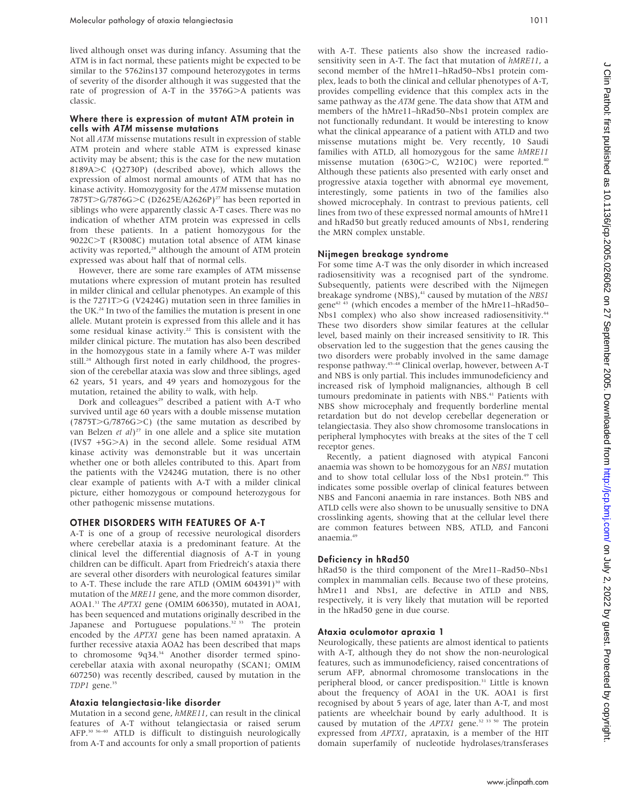lived although onset was during infancy. Assuming that the ATM is in fact normal, these patients might be expected to be similar to the 5762ins137 compound heterozygotes in terms of severity of the disorder although it was suggested that the rate of progression of A-T in the  $3576G$  $>$ A patients was classic.

## Where there is expression of mutant ATM protein in cells with ATM missense mutations

Not all ATM missense mutations result in expression of stable ATM protein and where stable ATM is expressed kinase activity may be absent; this is the case for the new mutation 8189A>C (Q2730P) (described above), which allows the expression of almost normal amounts of ATM that has no kinase activity. Homozygosity for the ATM missense mutation 7875T>G/7876G>C (D2625E/A2626P)<sup>27</sup> has been reported in siblings who were apparently classic A-T cases. There was no indication of whether ATM protein was expressed in cells from these patients. In a patient homozygous for the 9022C>T (R3008C) mutation total absence of ATM kinase activity was reported,<sup>28</sup> although the amount of ATM protein expressed was about half that of normal cells.

However, there are some rare examples of ATM missense mutations where expression of mutant protein has resulted in milder clinical and cellular phenotypes. An example of this is the  $7271T>G (V2424G)$  mutation seen in three families in the UK.<sup>24</sup> In two of the families the mutation is present in one allele. Mutant protein is expressed from this allele and it has some residual kinase activity.<sup>22</sup> This is consistent with the milder clinical picture. The mutation has also been described in the homozygous state in a family where A-T was milder still.<sup>24</sup> Although first noted in early childhood, the progression of the cerebellar ataxia was slow and three siblings, aged 62 years, 51 years, and 49 years and homozygous for the mutation, retained the ability to walk, with help.

Dork and colleagues<sup>29</sup> described a patient with A-T who survived until age 60 years with a double missense mutation  $(7875T>G/7876G>C)$  (the same mutation as described by van Belzen et  $al$ )<sup>27</sup> in one allele and a splice site mutation (IVS7  $+5G$  $>$ A) in the second allele. Some residual ATM kinase activity was demonstrable but it was uncertain whether one or both alleles contributed to this. Apart from the patients with the V2424G mutation, there is no other clear example of patients with A-T with a milder clinical picture, either homozygous or compound heterozygous for other pathogenic missense mutations.

## OTHER DISORDERS WITH FEATURES OF A-T

A-T is one of a group of recessive neurological disorders where cerebellar ataxia is a predominant feature. At the clinical level the differential diagnosis of A-T in young children can be difficult. Apart from Friedreich's ataxia there are several other disorders with neurological features similar to A-T. These include the rare ATLD (OMIM 604391)<sup>30</sup> with mutation of the MRE11 gene, and the more common disorder, AOA1.31 The APTX1 gene (OMIM 606350), mutated in AOA1, has been sequenced and mutations originally described in the Japanese and Portuguese populations.<sup>32 33</sup> The protein encoded by the APTX1 gene has been named aprataxin. A further recessive ataxia AOA2 has been described that maps to chromosome 9q34.<sup>34</sup> Another disorder termed spinocerebellar ataxia with axonal neuropathy (SCAN1; OMIM 607250) was recently described, caused by mutation in the TDP1 gene.<sup>35</sup>

## Ataxia telangiectasia-like disorder

Mutation in a second gene, hMRE11, can result in the clinical features of A-T without telangiectasia or raised serum AFP.30 36–40 ATLD is difficult to distinguish neurologically from A-T and accounts for only a small proportion of patients with A-T. These patients also show the increased radiosensitivity seen in A-T. The fact that mutation of hMRE11, a second member of the hMre11–hRad50–Nbs1 protein complex, leads to both the clinical and cellular phenotypes of A-T, provides compelling evidence that this complex acts in the same pathway as the ATM gene. The data show that ATM and members of the hMre11–hRad50–Nbs1 protein complex are not functionally redundant. It would be interesting to know what the clinical appearance of a patient with ATLD and two missense mutations might be. Very recently, 10 Saudi families with ATLD, all homozygous for the same hMRE11 missense mutation (630G>C, W210C) were reported.<sup>40</sup> Although these patients also presented with early onset and progressive ataxia together with abnormal eye movement, interestingly, some patients in two of the families also showed microcephaly. In contrast to previous patients, cell lines from two of these expressed normal amounts of hMre11 and hRad50 but greatly reduced amounts of Nbs1, rendering the MRN complex unstable.

#### Nijmegen breakage syndrome

For some time A-T was the only disorder in which increased radiosensitivity was a recognised part of the syndrome. Subsequently, patients were described with the Nijmegen breakage syndrome (NBS),<sup>41</sup> caused by mutation of the NBS1 gene<sup>42 43</sup> (which encodes a member of the hMre11–hRad50– Nbs1 complex) who also show increased radiosensitivity.<sup>44</sup> These two disorders show similar features at the cellular level, based mainly on their increased sensitivity to IR. This observation led to the suggestion that the genes causing the two disorders were probably involved in the same damage response pathway.45–48 Clinical overlap, however, between A-T and NBS is only partial. This includes immunodeficiency and increased risk of lymphoid malignancies, although B cell tumours predominate in patients with NBS.<sup>41</sup> Patients with NBS show microcephaly and frequently borderline mental retardation but do not develop cerebellar degeneration or telangiectasia. They also show chromosome translocations in peripheral lymphocytes with breaks at the sites of the T cell receptor genes.

Recently, a patient diagnosed with atypical Fanconi anaemia was shown to be homozygous for an NBS1 mutation and to show total cellular loss of the Nbs1 protein.<sup>49</sup> This indicates some possible overlap of clinical features between NBS and Fanconi anaemia in rare instances. Both NBS and ATLD cells were also shown to be unusually sensitive to DNA crosslinking agents, showing that at the cellular level there are common features between NBS, ATLD, and Fanconi anaemia.49

#### Deficiency in hRad50

hRad50 is the third component of the Mre11–Rad50–Nbs1 complex in mammalian cells. Because two of these proteins, hMre11 and Nbs1, are defective in ATLD and NBS, respectively, it is very likely that mutation will be reported in the hRad50 gene in due course.

#### Ataxia oculomotor apraxia 1

Neurologically, these patients are almost identical to patients with A-T, although they do not show the non-neurological features, such as immunodeficiency, raised concentrations of serum AFP, abnormal chromosome translocations in the peripheral blood, or cancer predisposition.<sup>31</sup> Little is known about the frequency of AOA1 in the UK. AOA1 is first recognised by about 5 years of age, later than A-T, and most patients are wheelchair bound by early adulthood. It is caused by mutation of the  $APTXI$  gene.<sup>32 33 50</sup> The protein expressed from APTX1, aprataxin, is a member of the HIT domain superfamily of nucleotide hydrolases/transferases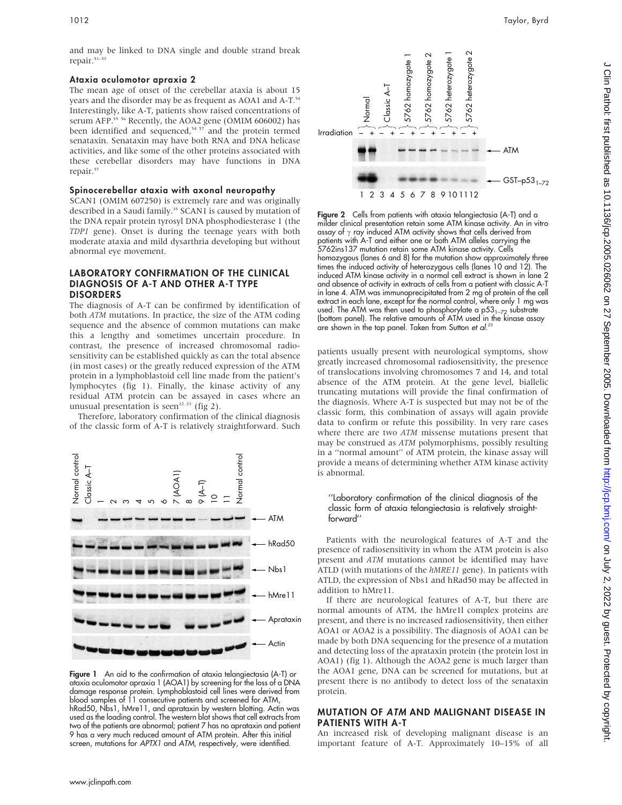and may be linked to DNA single and double strand break repair.<sup>51-53</sup>

# Ataxia oculomotor apraxia 2

The mean age of onset of the cerebellar ataxia is about 15 years and the disorder may be as frequent as AOA1 and A-T.<sup>54</sup> Interestingly, like A-T, patients show raised concentrations of serum AFP.<sup>55 56</sup> Recently, the AOA2 gene (OMIM 606002) has been identified and sequenced,<sup>54 57</sup> and the protein termed senataxin. Senataxin may have both RNA and DNA helicase activities, and like some of the other proteins associated with these cerebellar disorders may have functions in DNA repair.<sup>57</sup>

# Spinocerebellar ataxia with axonal neuropathy

SCAN1 (OMIM 607250) is extremely rare and was originally described in a Saudi family.<sup>35</sup> SCAN1 is caused by mutation of the DNA repair protein tyrosyl DNA phosphodiesterase 1 (the TDP1 gene). Onset is during the teenage years with both moderate ataxia and mild dysarthria developing but without abnormal eye movement.

# LABORATORY CONFIRMATION OF THE CLINICAL DIAGNOSIS OF A-T AND OTHER A-T TYPE **DISORDERS**

The diagnosis of A-T can be confirmed by identification of both ATM mutations. In practice, the size of the ATM coding sequence and the absence of common mutations can make this a lengthy and sometimes uncertain procedure. In contrast, the presence of increased chromosomal radiosensitivity can be established quickly as can the total absence (in most cases) or the greatly reduced expression of the ATM protein in a lymphoblastoid cell line made from the patient's lymphocytes (fig 1). Finally, the kinase activity of any residual ATM protein can be assayed in cases where an unusual presentation is seen<sup>22 23</sup> (fig 2).

Therefore, laboratory confirmation of the clinical diagnosis of the classic form of A-T is relatively straightforward. Such



Figure 1 An aid to the confirmation of ataxia telangiectasia (A-T) or ataxia oculomotor apraxia 1 (AOA1) by screening for the loss of a DNA damage response protein. Lymphoblastoid cell lines were derived from blood samples of 11 consecutive patients and screened for ATM, hRad50, Nbs1, hMre11, and aprataxin by western blotting. Actin was used as the loading control. The western blot shows that cell extracts from two of the patients are abnormal; patient 7 has no aprataxin and patient 9 has a very much reduced amount of ATM protein. After this initial screen, mutations for APTX1 and ATM, respectively, were identified.



Figure 2 Cells from patients with ataxia telangiectasia (A-T) and a milder clinical presentation retain some ATM kinase activity. An in vitro assay of  $\gamma$  ray induced ATM activity shows that cells derived from patients with A-T and either one or both ATM alleles carrying the 5762ins137 mutation retain some ATM kinase activity. Cells homozygous (lanes 6 and 8) for the mutation show approximately three times the induced activity of heterozygous cells (lanes 10 and 12). The induced ATM kinase activity in a normal cell extract is shown in lane 2 and absence of activity in extracts of cells from a patient with classic A-T in lane 4. ATM was immunoprecipitated from 2 mg of protein of the cell extract in each lane, except for the normal control, where only 1 mg was used. The ATM was then used to phosphorylate a  $p53_{1-72}$  substrate (bottom panel). The relative amounts of ATM used in the kinase assay are shown in the top panel. Taken from Sutton *et al.<sup>23</sup>* 

patients usually present with neurological symptoms, show greatly increased chromosomal radiosensitivity, the presence of translocations involving chromosomes 7 and 14, and total absence of the ATM protein. At the gene level, biallelic truncating mutations will provide the final confirmation of the diagnosis. Where A-T is suspected but may not be of the classic form, this combination of assays will again provide data to confirm or refute this possibility. In very rare cases where there are two ATM missense mutations present that may be construed as ATM polymorphisms, possibly resulting in a ''normal amount'' of ATM protein, the kinase assay will provide a means of determining whether ATM kinase activity is abnormal.

# ''Laboratory confirmation of the clinical diagnosis of the classic form of ataxia telangiectasia is relatively straightforward''

Patients with the neurological features of A-T and the presence of radiosensitivity in whom the ATM protein is also present and ATM mutations cannot be identified may have ATLD (with mutations of the hMRE11 gene). In patients with ATLD, the expression of Nbs1 and hRad50 may be affected in addition to hMre11.

If there are neurological features of A-T, but there are normal amounts of ATM, the hMre1l complex proteins are present, and there is no increased radiosensitivity, then either AOA1 or AOA2 is a possibility. The diagnosis of AOA1 can be made by both DNA sequencing for the presence of a mutation and detecting loss of the aprataxin protein (the protein lost in AOA1) (fig 1). Although the AOA2 gene is much larger than the AOA1 gene, DNA can be screened for mutations, but at present there is no antibody to detect loss of the senataxin protein.

# MUTATION OF ATM AND MALIGNANT DISEASE IN PATIENTS WITH A-T

An increased risk of developing malignant disease is an important feature of A-T. Approximately 10–15% of all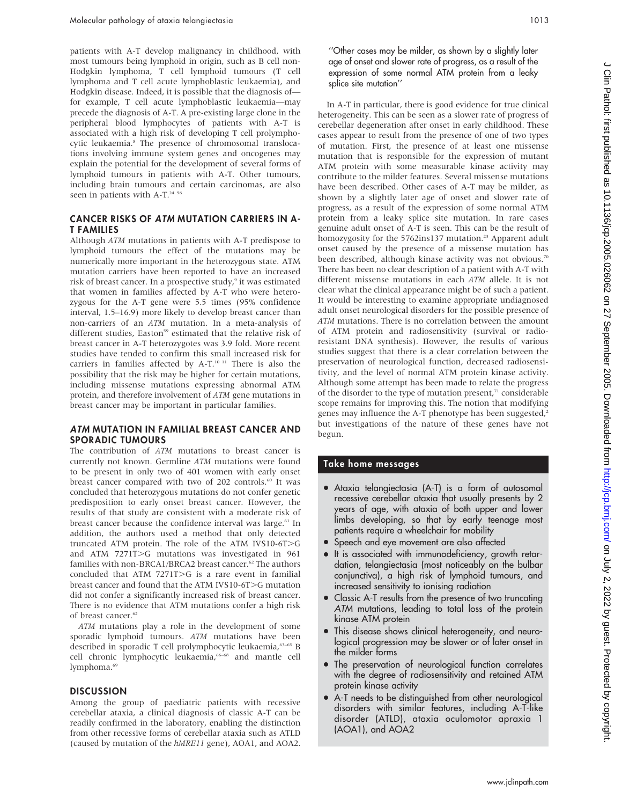patients with A-T develop malignancy in childhood, with most tumours being lymphoid in origin, such as B cell non-Hodgkin lymphoma, T cell lymphoid tumours (T cell lymphoma and T cell acute lymphoblastic leukaemia), and Hodgkin disease. Indeed, it is possible that the diagnosis of for example, T cell acute lymphoblastic leukaemia—may precede the diagnosis of A-T. A pre-existing large clone in the peripheral blood lymphocytes of patients with A-T is associated with a high risk of developing T cell prolymphocytic leukaemia.<sup>8</sup> The presence of chromosomal translocations involving immune system genes and oncogenes may explain the potential for the development of several forms of lymphoid tumours in patients with A-T. Other tumours, including brain tumours and certain carcinomas, are also seen in patients with A-T.<sup>24 58</sup>

# CANCER RISKS OF ATM MUTATION CARRIERS IN A-T FAMILIES

Although ATM mutations in patients with A-T predispose to lymphoid tumours the effect of the mutations may be numerically more important in the heterozygous state. ATM mutation carriers have been reported to have an increased risk of breast cancer. In a prospective study,<sup>9</sup> it was estimated that women in families affected by A-T who were heterozygous for the A-T gene were 5.5 times (95% confidence interval, 1.5–16.9) more likely to develop breast cancer than non-carriers of an ATM mutation. In a meta-analysis of different studies, Easton<sup>59</sup> estimated that the relative risk of breast cancer in A-T heterozygotes was 3.9 fold. More recent studies have tended to confirm this small increased risk for carriers in families affected by A-T.10 11 There is also the possibility that the risk may be higher for certain mutations, including missense mutations expressing abnormal ATM protein, and therefore involvement of ATM gene mutations in breast cancer may be important in particular families.

# ATM MUTATION IN FAMILIAL BREAST CANCER AND SPORADIC TUMOURS

The contribution of ATM mutations to breast cancer is currently not known. Germline ATM mutations were found to be present in only two of 401 women with early onset breast cancer compared with two of 202 controls.<sup>60</sup> It was concluded that heterozygous mutations do not confer genetic predisposition to early onset breast cancer. However, the results of that study are consistent with a moderate risk of breast cancer because the confidence interval was large.<sup>61</sup> In addition, the authors used a method that only detected truncated ATM protein. The role of the ATM IVS10-6T $>$ G and ATM 7271T>G mutations was investigated in 961 families with non-BRCA1/BRCA2 breast cancer.<sup>62</sup> The authors concluded that ATM  $7271T>G$  is a rare event in familial breast cancer and found that the ATM IVS10-6T>G mutation did not confer a significantly increased risk of breast cancer. There is no evidence that ATM mutations confer a high risk of breast cancer.<sup>62</sup>

ATM mutations play a role in the development of some sporadic lymphoid tumours. ATM mutations have been described in sporadic T cell prolymphocytic leukaemia,<sup>63-65</sup> B cell chronic lymphocytic leukaemia,<sup>66–68</sup> and mantle cell lymphoma.<sup>69</sup>

# **DISCUSSION**

Among the group of paediatric patients with recessive cerebellar ataxia, a clinical diagnosis of classic A-T can be readily confirmed in the laboratory, enabling the distinction from other recessive forms of cerebellar ataxia such as ATLD (caused by mutation of the hMRE11 gene), AOA1, and AOA2.

''Other cases may be milder, as shown by a slightly later age of onset and slower rate of progress, as a result of the expression of some normal ATM protein from a leaky splice site mutation''

In A-T in particular, there is good evidence for true clinical heterogeneity. This can be seen as a slower rate of progress of cerebellar degeneration after onset in early childhood. These cases appear to result from the presence of one of two types of mutation. First, the presence of at least one missense mutation that is responsible for the expression of mutant ATM protein with some measurable kinase activity may contribute to the milder features. Several missense mutations have been described. Other cases of A-T may be milder, as shown by a slightly later age of onset and slower rate of progress, as a result of the expression of some normal ATM protein from a leaky splice site mutation. In rare cases genuine adult onset of A-T is seen. This can be the result of homozygosity for the 5762ins137 mutation.<sup>23</sup> Apparent adult onset caused by the presence of a missense mutation has been described, although kinase activity was not obvious.<sup>70</sup> There has been no clear description of a patient with A-T with different missense mutations in each ATM allele. It is not clear what the clinical appearance might be of such a patient. It would be interesting to examine appropriate undiagnosed adult onset neurological disorders for the possible presence of ATM mutations. There is no correlation between the amount of ATM protein and radiosensitivity (survival or radioresistant DNA synthesis). However, the results of various studies suggest that there is a clear correlation between the preservation of neurological function, decreased radiosensitivity, and the level of normal ATM protein kinase activity. Although some attempt has been made to relate the progress of the disorder to the type of mutation present, $71$  considerable scope remains for improving this. The notion that modifying genes may influence the A-T phenotype has been suggested,<sup>2</sup> but investigations of the nature of these genes have not begun.

# Take home messages

- Ataxia telangiectasia (A-T) is a form of autosomal recessive cerebellar ataxia that usually presents by 2 years of age, with ataxia of both upper and lower limbs developing, so that by early teenage most patients require a wheelchair for mobility
- Speech and eye movement are also affected
- $\bullet$  It is associated with immunodeficiency, growth retardation, telangiectasia (most noticeably on the bulbar conjunctiva), a high risk of lymphoid tumours, and increased sensitivity to ionising radiation
- Classic A-T results from the presence of two truncating ATM mutations, leading to total loss of the protein kinase ATM protein
- This disease shows clinical heterogeneity, and neurological progression may be slower or of later onset in the milder forms
- The preservation of neurological function correlates with the degree of radiosensitivity and retained ATM protein kinase activity
- A-T needs to be distinguished from other neurological disorders with similar features, including A-T-like disorder (ATLD), ataxia oculomotor apraxia 1 (AOA1), and AOA2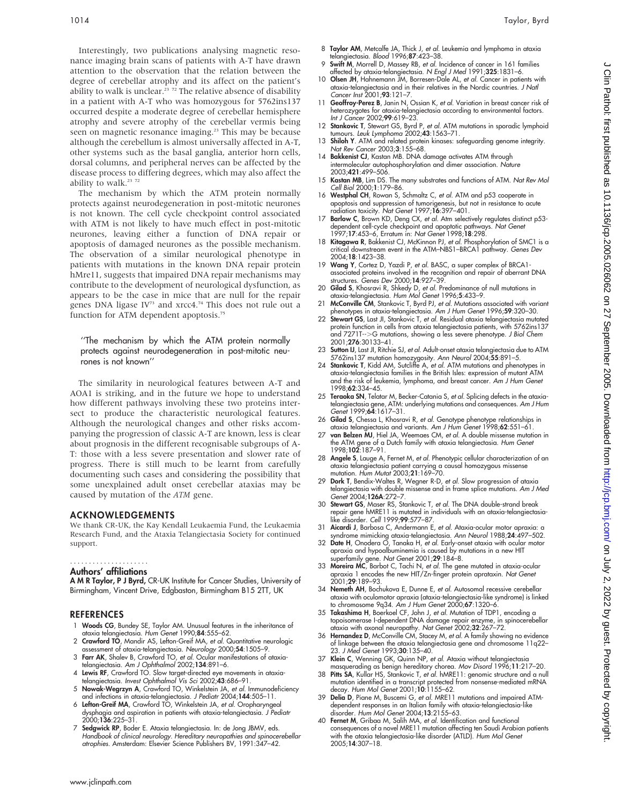Interestingly, two publications analysing magnetic resonance imaging brain scans of patients with A-T have drawn attention to the observation that the relation between the degree of cerebellar atrophy and its affect on the patient's ability to walk is unclear.<sup>23</sup>  $72$ <sup>2</sup> The relative absence of disability in a patient with A-T who was homozygous for 5762ins137 occurred despite a moderate degree of cerebellar hemisphere atrophy and severe atrophy of the cerebellar vermis being seen on magnetic resonance imaging.<sup>23</sup> This may be because although the cerebellum is almost universally affected in A-T, other systems such as the basal ganglia, anterior horn cells, dorsal columns, and peripheral nerves can be affected by the disease process to differing degrees, which may also affect the ability to walk.<sup>23 72</sup>

The mechanism by which the ATM protein normally protects against neurodegeneration in post-mitotic neurones is not known. The cell cycle checkpoint control associated with ATM is not likely to have much effect in post-mitotic neurones, leaving either a function of DNA repair or apoptosis of damaged neurones as the possible mechanism. The observation of a similar neurological phenotype in patients with mutations in the known DNA repair protein hMre11, suggests that impaired DNA repair mechanisms may contribute to the development of neurological dysfunction, as appears to be the case in mice that are null for the repair genes DNA ligase  $IV^3$  and xrcc4.<sup>74</sup> This does not rule out a function for ATM dependent apoptosis.<sup>75</sup>

# ''The mechanism by which the ATM protein normally protects against neurodegeneration in post-mitotic neurones is not known''

The similarity in neurological features between A-T and AOA1 is striking, and in the future we hope to understand how different pathways involving these two proteins intersect to produce the characteristic neurological features. Although the neurological changes and other risks accompanying the progression of classic A-T are known, less is clear about prognosis in the different recognisable subgroups of A-T: those with a less severe presentation and slower rate of progress. There is still much to be learnt from carefully documenting such cases and considering the possibility that some unexplained adult onset cerebellar ataxias may be caused by mutation of the ATM gene.

#### ACKNOWLEDGEMENTS

We thank CR-UK, the Kay Kendall Leukaemia Fund, the Leukaemia Research Fund, and the Ataxia Telangiectasia Society for continued support.

# .....................

# Authors' affiliations

A M R Taylor, P J Byrd, CR-UK Institute for Cancer Studies, University of Birmingham, Vincent Drive, Edgbaston, Birmingham B15 2TT, UK

## **REFERENCES**

- 1 Woods CG, Bundey SE, Taylor AM. Unusual features in the inheritance of ataxia telangiectasia. Hum Genet 1990;84:555–62.
- 2 Crawford TO, Mandir AS, Lefton-Greif MA, et al. Quantitative neurologic assessment of ataxia-telangiectasia. Neurology 2000;54:1505–9.
- 3 Farr AK, Shalev B, Crawford TO, et al. Ocular manifestations of ataxiatelangiectasia. Am J Ophthalmol 2002;134:891-6.
- 4 Lewis RF, Crawford TO. Slow target-directed eye movements in ataxiatelangiectasia. Invest Ophthalmol Vis Sci 2002;43:686-91.
- 5 Nowak-Wegrzyn A, Crawford TO, Winkelstein JA, et al. Immunodeficiency and infections in ataxia-telangiectasia. J Pediatr 2004;144:505–11.
- 6 Lefton-Greif MA, Crawford TO, Winkelstein JA, et al. Oropharyngeal dysphagia and aspiration in patients with ataxia-telangiectasia. J Pediatr 2000;136:225–31.
- 7 Sedgwick RP, Boder E. Ataxia telangiectasia. In: de Jong JBMV, eds. Handbook of clinical neurology. Hereditary neuropathies and spinocerebellar atrophies. Amsterdam: Elsevier Science Publishers BV, 1991:347–42.
- 8 Taylor AM, Metcalfe JA, Thick J, et al. Leukemia and lymphoma in ataxia telangiectasia. Blood 1996;87:423–38.
- 9 Swift M, Morrell D, Massey RB, et al. Incidence of cancer in 161 families affected by ataxia-telangiectasia. N Engl J Med 1991;325:1831-6.
- 10 Olsen JH, Hahnemann JM, Borresen-Dale AL, et al. Cancer in patients with ataxia-telangiectasia and in their relatives in the Nordic countries. J Nati<br>Cancer Inst 2001;**93**:121–7.
- 11 Geoffroy-Perez B, Janin N, Ossian K, et al. Variation in breast cancer risk of heterozygotes for ataxia-telangiectasia according to environmental factors. Int J Cancer 2002;99:619-23
- 12 Stankovic T, Stewart GS, Byrd P, et al. ATM mutations in sporadic lymphoid tumours. Leuk Lymphoma 2002;43:1563–71.
- 13 Shiloh Y. ATM and related protein kinases: safeguarding genome integrity. Nat Rev Cancer 2003;3:155–68.
- 14 Bakkenist CJ, Kastan MB. DNA damage activates ATM through intermolecular autophosphorylation and dimer association. Nature 2003;421:499–506.
- 15 Kastan MB, Lim DS. The many substrates and functions of ATM. Nat Rev Mol Cell Biol 2000;1:179–86.
- 16 Westphal CH, Rowan S, Schmaltz C, et al. ATM and p53 cooperate in apoptosis and suppression of tumorigenesis, but not in resistance to acute radiation toxicity. Nat Genet 1997;16:397–401.
- Barlow C, Brown KD, Deng CX, et al. Atm selectively regulates distinct p53dependent cell-cycle checkpoint and apoptotic pathways. Nat Genet<br>1997;**17**:453–6, Erratum in: N*at Genet* 1998;**18**:298.
- 18 Kitagawa R, Bakkenist CJ, McKinnon PJ, et al. Phosphorylation of SMC1 is a critical downstream event in the ATM–NBS1–BRCA1 pathway. Genes Dev 2004;18:1423–38.
- 19 Wang Y, Cortez D, Yazdi P, et al. BASC, a super complex of BRCA1associated proteins involved in the recognition and repair of aberrant DNA structures. Genes Dev 2000;14:927–39.
- 20 Gilad S, Khosravi R, Shkedy D, et al. Predominance of null mutations in ataxia-telangiectasia. Hum Mol Genet 1996;5:433–9.
- 21 McConville CM, Stankovic T, Byrd PJ, et al. Mutations associated with variant
- phenotypes in ataxia-telangiectasia. Am J Hum Genet 1996;**59**:320–30.<br>22 **Stewart GS**, Last JI, Stankovic T, *et al.* Residual ataxia telangiectasia mutated protein function in cells from ataxia telangiectasia patients, with 5762ins137 and 7271T-->G mutations, showing a less severe phenotype. J Biol Chem 2001;276:30133–41.
- 23 Sutton IJ, Last JI, Ritchie SJ, et al. Adult-onset ataxia telangiectasia due to ATM 5762ins137 mutation homozygosity. Ann Neurol 2004;55:891–5.
- 24 Stankovic T, Kidd AM, Sutcliffe A, et al. ATM mutations and phenotypes in ataxia-telangiectasia families in the British Isles: expression of mutant ATM and the risk of leukemia, lymphoma, and breast cancer. Am J Hum Genet 1998;62:334–45.
- 25 Teraoka SN, Telatar M, Becker-Catania S, et al. Splicing defects in the ataxiatelangiectasia gene, ATM: underlying mutations and consequences. Am J Hum Genet 1999;64:1617-31.
- 26 Gilad S, Chessa L, Khosravi R, *et al.* Genotype phenotype relationships in<br>ataxia telangiectasia and variants. Am J Hum Genet 1998;6**2**:551–61.<br>27 **van Belzen MJ**, Hiel JA, Weemaes CM, *et al.* A double missense mutati
- the ATM gene of a Dutch family with ataxia telangiectasia. Hum Genet 1998;102:187–91.
- 28 Angele S, Lauge A, Fernet M, et al. Phenotypic cellular characterization of an ataxia telangiectasia patient carrying a causal homozygous missense mutation. Hum Mutat 2003;21:169–70.
- 29 Dork T, Bendix-Waltes R, Wegner R-D, et al. Slow progression of ataxia telangiectasia with double missense and in frame splice mutations. Am J Med Genet 2004;126A:272–7.
- 30 Stewart GS, Maser RS, Stankovic T, et al. The DNA double-strand break repair gene hMRE11 is mutated in individuals with an ataxia-telangiectasialike disorder. Cell 1999;99:577–87.
- 31 Aicardi J, Barbosa C, Andermann E, et al. Ataxia-ocular motor apraxia: a syndrome mimicking ataxia-telangiectasia. Ann Neurol 1988;24:497–502.
- 32 Date H, Onodera O, Tanaka H, et al. Early-onset ataxia with ocular motor apraxia and hypoalbuminemia is caused by mutations in a new HIT superfamily gene. Nat Genet 2001;29:184–8.
- 33 Moreira MC, Barbot C, Tachi N, et al. The gene mutated in ataxia-ocular apraxia 1 encodes the new HIT/Zn-finger protein aprataxin. Nat Genet 2001;29:189–93.
- 34 Nemeth AH, Bochukova E, Dunne E, et al. Autosomal recessive cerebellar ataxia with oculomotor apraxia (ataxia-telangiectasia-like syndrome) is linked to chromosome 9q34. Am J Hum Genet 2000;67:1320–6.
- 35 Takashima H, Boerkoel CF, John J, et al. Mutation of TDP1, encoding a topoisomerase I-dependent DNA damage repair enzyme, in spinocerebellar ataxia with axonal neuropathy. Nat Genet 2002;32:267–72.
- 36 Hernandez D, McConville CM, Stacey M, et al. A family showing no evidence of linkage between the ataxia telangiectasia gene and chromosome 11q22– 23. J Med Genet 1993;30:135–40.
- 37 Klein C, Wenning GK, Quinn NP, et al. Ataxia without telangiectasia
- masquerading as benign hereditary chorea. Mov Disord 1996;11:217–20. 38 Pitts SA, Kullar HS, Stankovic T, et al. hMRE11: genomic structure and a null mutation identified in a transcript protected from nonsense-mediated mRNA decay. Hum Mol Genet 2001;10:1155–62.
- 39 Delia D, Piane M, Buscemi G, et al. MRE11 mutations and impaired ATMdependent responses in an Italian family with ataxia-telangiectasia-like disorder. Hum Mol Genet 2004;13:2155–63.
- 40 Fernet M, Gribaa M, Salih MA, et al. Identification and functional consequences of a novel MRE11 mutation affecting ten Saudi Arabian patients with the ataxia telangiectasia-like disorder (ATLD). Hum Mol Genet 2005;14:307–18.